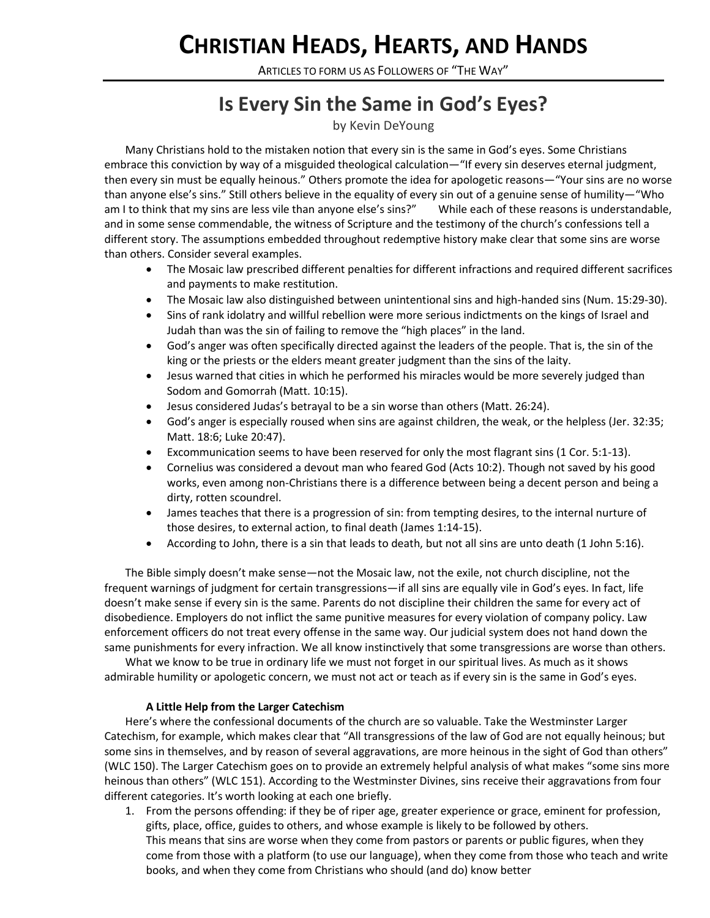# **CHRISTIAN HEADS, HEARTS, AND HANDS**

ARTICLES TO FORM US AS FOLLOWERS OF "THE WAY"

## **Is Every Sin the Same in God's Eyes?**

### by Kevin DeYoung

Many Christians hold to the mistaken notion that every sin is the same in God's eyes. Some Christians embrace this conviction by way of a misguided theological calculation—"If every sin deserves eternal judgment, then every sin must be equally heinous." Others promote the idea for apologetic reasons—"Your sins are no worse than anyone else's sins." Still others believe in the equality of every sin out of a genuine sense of humility—"Who am I to think that my sins are less vile than anyone else's sins?" While each of these reasons is understandable, and in some sense commendable, the witness of Scripture and the testimony of the church's confessions tell a different story. The assumptions embedded throughout redemptive history make clear that some sins are worse than others. Consider several examples.

- The Mosaic law prescribed different penalties for different infractions and required different sacrifices and payments to make restitution.
- The Mosaic law also distinguished between unintentional sins and high-handed sins (Num. 15:29-30).
- Sins of rank idolatry and willful rebellion were more serious indictments on the kings of Israel and Judah than was the sin of failing to remove the "high places" in the land.
- God's anger was often specifically directed against the leaders of the people. That is, the sin of the king or the priests or the elders meant greater judgment than the sins of the laity.
- Jesus warned that cities in which he performed his miracles would be more severely judged than Sodom and Gomorrah (Matt. 10:15).
- Jesus considered Judas's betrayal to be a sin worse than others (Matt. 26:24).
- God's anger is especially roused when sins are against children, the weak, or the helpless (Jer. 32:35; Matt. 18:6; Luke 20:47).
- Excommunication seems to have been reserved for only the most flagrant sins (1 Cor. 5:1-13).
- Cornelius was considered a devout man who feared God (Acts 10:2). Though not saved by his good works, even among non-Christians there is a difference between being a decent person and being a dirty, rotten scoundrel.
- James teaches that there is a progression of sin: from tempting desires, to the internal nurture of those desires, to external action, to final death (James 1:14-15).
- According to John, there is a sin that leads to death, but not all sins are unto death (1 John 5:16).

The Bible simply doesn't make sense—not the Mosaic law, not the exile, not church discipline, not the frequent warnings of judgment for certain transgressions—if all sins are equally vile in God's eyes. In fact, life doesn't make sense if every sin is the same. Parents do not discipline their children the same for every act of disobedience. Employers do not inflict the same punitive measures for every violation of company policy. Law enforcement officers do not treat every offense in the same way. Our judicial system does not hand down the same punishments for every infraction. We all know instinctively that some transgressions are worse than others.

What we know to be true in ordinary life we must not forget in our spiritual lives. As much as it shows admirable humility or apologetic concern, we must not act or teach as if every sin is the same in God's eyes.

#### **A Little Help from the Larger Catechism**

Here's where the confessional documents of the church are so valuable. Take the Westminster Larger Catechism, for example, which makes clear that "All transgressions of the law of God are not equally heinous; but some sins in themselves, and by reason of several aggravations, are more heinous in the sight of God than others" (WLC 150). The Larger Catechism goes on to provide an extremely helpful analysis of what makes "some sins more heinous than others" (WLC 151). According to the Westminster Divines, sins receive their aggravations from four different categories. It's worth looking at each one briefly.

1. From the persons offending: if they be of riper age, greater experience or grace, eminent for profession, gifts, place, office, guides to others, and whose example is likely to be followed by others. This means that sins are worse when they come from pastors or parents or public figures, when they come from those with a platform (to use our language), when they come from those who teach and write books, and when they come from Christians who should (and do) know better